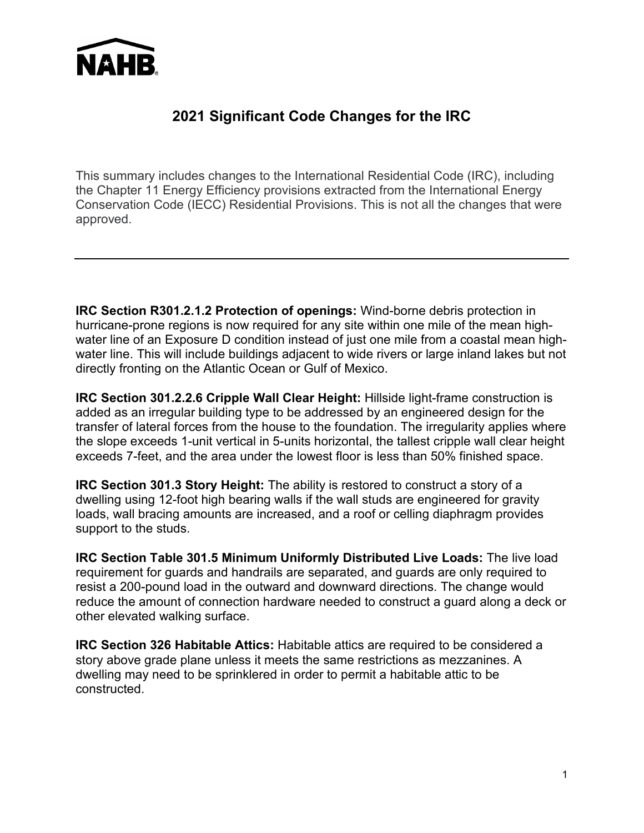

## **2021 Significant Code Changes for the IRC**

This summary includes changes to the International Residential Code (IRC), including the Chapter 11 Energy Efficiency provisions extracted from the International Energy Conservation Code (IECC) Residential Provisions. This is not all the changes that were approved.

**IRC Section R301.2.1.2 Protection of openings:** Wind-borne debris protection in hurricane-prone regions is now required for any site within one mile of the mean highwater line of an Exposure D condition instead of just one mile from a coastal mean highwater line. This will include buildings adjacent to wide rivers or large inland lakes but not directly fronting on the Atlantic Ocean or Gulf of Mexico.

**IRC Section 301.2.2.6 Cripple Wall Clear Height:** Hillside light-frame construction is added as an irregular building type to be addressed by an engineered design for the transfer of lateral forces from the house to the foundation. The irregularity applies where the slope exceeds 1-unit vertical in 5-units horizontal, the tallest cripple wall clear height exceeds 7-feet, and the area under the lowest floor is less than 50% finished space.

**IRC Section 301.3 Story Height:** The ability is restored to construct a story of a dwelling using 12-foot high bearing walls if the wall studs are engineered for gravity loads, wall bracing amounts are increased, and a roof or celling diaphragm provides support to the studs.

**IRC Section Table 301.5 Minimum Uniformly Distributed Live Loads:** The live load requirement for guards and handrails are separated, and guards are only required to resist a 200-pound load in the outward and downward directions. The change would reduce the amount of connection hardware needed to construct a guard along a deck or other elevated walking surface.

**IRC Section 326 Habitable Attics:** Habitable attics are required to be considered a story above grade plane unless it meets the same restrictions as mezzanines. A dwelling may need to be sprinklered in order to permit a habitable attic to be constructed.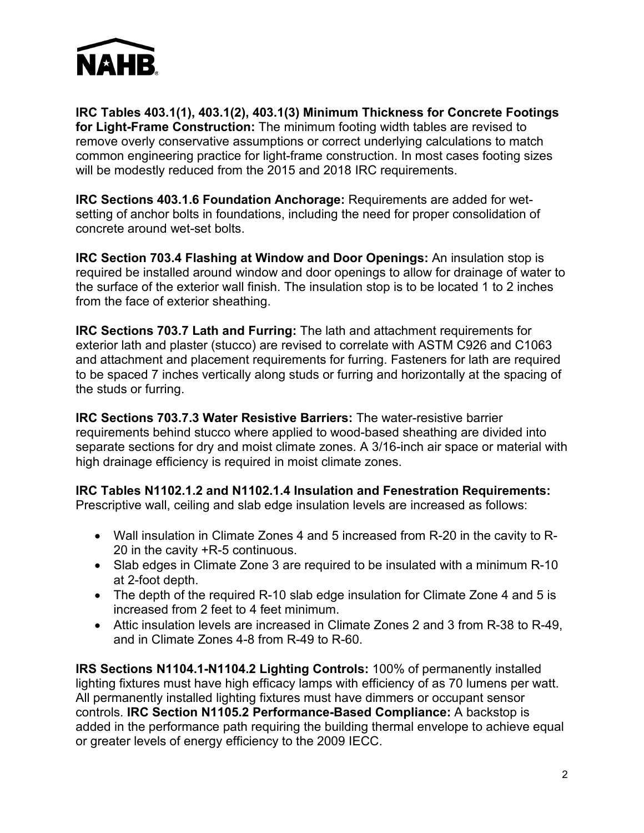

**IRC Tables 403.1(1), 403.1(2), 403.1(3) Minimum Thickness for Concrete Footings for Light-Frame Construction:** The minimum footing width tables are revised to remove overly conservative assumptions or correct underlying calculations to match common engineering practice for light-frame construction. In most cases footing sizes will be modestly reduced from the 2015 and 2018 IRC requirements.

**IRC Sections 403.1.6 Foundation Anchorage:** Requirements are added for wetsetting of anchor bolts in foundations, including the need for proper consolidation of concrete around wet-set bolts.

**IRC Section 703.4 Flashing at Window and Door Openings:** An insulation stop is required be installed around window and door openings to allow for drainage of water to the surface of the exterior wall finish. The insulation stop is to be located 1 to 2 inches from the face of exterior sheathing.

**IRC Sections 703.7 Lath and Furring:** The lath and attachment requirements for exterior lath and plaster (stucco) are revised to correlate with ASTM C926 and C1063 and attachment and placement requirements for furring. Fasteners for lath are required to be spaced 7 inches vertically along studs or furring and horizontally at the spacing of the studs or furring.

**IRC Sections 703.7.3 Water Resistive Barriers:** The water-resistive barrier requirements behind stucco where applied to wood-based sheathing are divided into separate sections for dry and moist climate zones. A 3/16-inch air space or material with high drainage efficiency is required in moist climate zones.

**IRC Tables N1102.1.2 and N1102.1.4 Insulation and Fenestration Requirements:**

Prescriptive wall, ceiling and slab edge insulation levels are increased as follows:

- Wall insulation in Climate Zones 4 and 5 increased from R-20 in the cavity to R-20 in the cavity +R-5 continuous.
- Slab edges in Climate Zone 3 are required to be insulated with a minimum R-10 at 2-foot depth.
- The depth of the required R-10 slab edge insulation for Climate Zone 4 and 5 is increased from 2 feet to 4 feet minimum.
- Attic insulation levels are increased in Climate Zones 2 and 3 from R-38 to R-49, and in Climate Zones 4-8 from R-49 to R-60.

**IRS Sections N1104.1-N1104.2 Lighting Controls:** 100% of permanently installed lighting fixtures must have high efficacy lamps with efficiency of as 70 lumens per watt. All permanently installed lighting fixtures must have dimmers or occupant sensor controls. **IRC Section N1105.2 Performance-Based Compliance:** A backstop is added in the performance path requiring the building thermal envelope to achieve equal or greater levels of energy efficiency to the 2009 IECC.